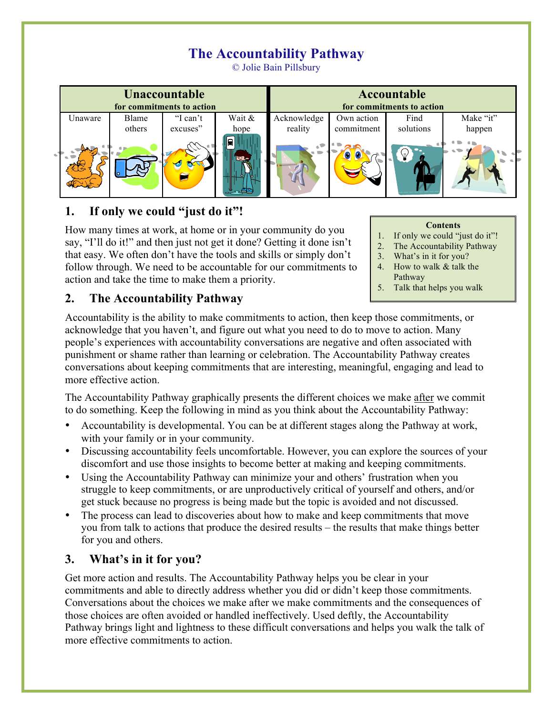# **The Accountability Pathway**

© Jolie Bain Pillsbury

| <b>Unaccountable</b><br>for commitments to action |        |          |         | Accountable<br>for commitments to action |            |           |           |
|---------------------------------------------------|--------|----------|---------|------------------------------------------|------------|-----------|-----------|
| Jnaware                                           | Blame  | "I can't | Wait &  | Acknowledge                              | Own action | Find      | Make "it" |
|                                                   | others | excuses" | hope    | reality                                  | commitment | solutions | happen    |
| $\sim$ 10                                         |        |          | ≏<br>ы. |                                          |            |           |           |

## **1. If only we could "just do it"!**

How many times at work, at home or in your community do you say, "I'll do it!" and then just not get it done? Getting it done isn't that easy. We often don't have the tools and skills or simply don't follow through. We need to be accountable for our commitments to action and take the time to make them a priority.

#### **Contents**

- 1. If only we could "just do it"!
- 2. The Accountability Pathway
- 3. What's in it for you?
- 4. How to walk  $&$  talk the Pathway
- 5. Talk that helps you walk

### **2. The Accountability Pathway**

Accountability is the ability to make commitments to action, then keep those commitments, or acknowledge that you haven't, and figure out what you need to do to move to action. Many people's experiences with accountability conversations are negative and often associated with punishment or shame rather than learning or celebration. The Accountability Pathway creates conversations about keeping commitments that are interesting, meaningful, engaging and lead to more effective action.

The Accountability Pathway graphically presents the different choices we make after we commit to do something. Keep the following in mind as you think about the Accountability Pathway:

- Accountability is developmental. You can be at different stages along the Pathway at work, with your family or in your community.
- Discussing accountability feels uncomfortable. However, you can explore the sources of your discomfort and use those insights to become better at making and keeping commitments.
- Using the Accountability Pathway can minimize your and others' frustration when you struggle to keep commitments, or are unproductively critical of yourself and others, and/or get stuck because no progress is being made but the topic is avoided and not discussed.
- The process can lead to discoveries about how to make and keep commitments that move you from talk to actions that produce the desired results – the results that make things better for you and others.

# **3. What's in it for you?**

Get more action and results. The Accountability Pathway helps you be clear in your commitments and able to directly address whether you did or didn't keep those commitments. Conversations about the choices we make after we make commitments and the consequences of those choices are often avoided or handled ineffectively. Used deftly, the Accountability Pathway brings light and lightness to these difficult conversations and helps you walk the talk of more effective commitments to action.